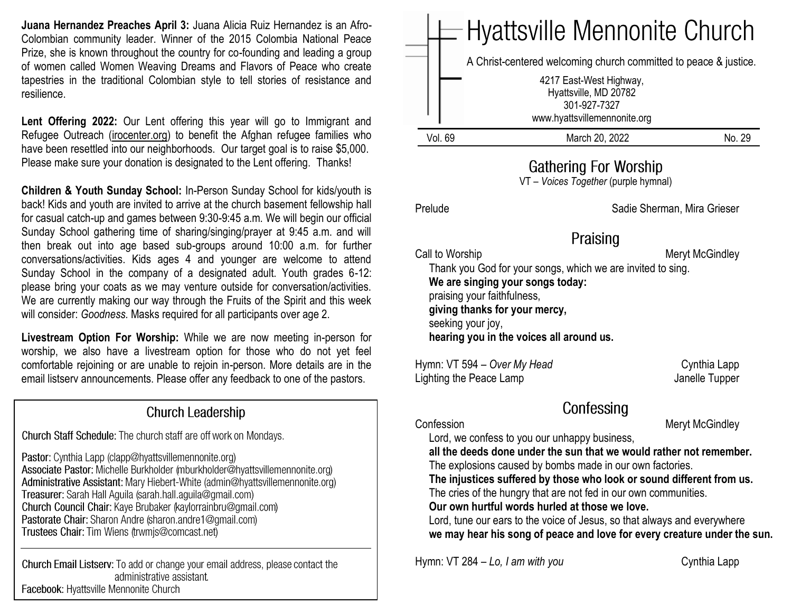**Juana Hernandez Preaches April 3:** Juana Alicia Ruiz Hernandez is an Afro-Colombian community leader. Winner of the 2015 Colombia National Peace Prize, she is known throughout the country for co-founding and leading a group of women called Women Weaving Dreams and Flavors of Peace who create tapestries in the traditional Colombian style to tell stories of resistance and resilience.

Lent Offering 2022: Our Lent offering this year will go to Immigrant and Refugee Outreach [\(irocenter.org\)](http://irocenter.org/) to benefit the Afghan refugee families who have been resettled into our neighborhoods. Our target goal is to raise \$5,000. Please make sure your donation is designated to the Lent offering. Thanks!

**Children & Youth Sunday School:** In-Person Sunday School for kids/youth is back! Kids and youth are invited to arrive at the church basement fellowship hall for casual catch-up and games between 9:30-9:45 a.m. We will begin our official Sunday School gathering time of sharing/singing/prayer at 9:45 a.m. and will then break out into age based sub-groups around 10:00 a.m. for further conversations/activities. Kids ages 4 and younger are welcome to attend Sunday School in the company of a designated adult. Youth grades 6-12: please bring your coats as we may venture outside for conversation/activities. We are currently making our way through the Fruits of the Spirit and this week will consider: *Goodness.* Masks required for all participants over age 2.

**Livestream Option For Worship:** While we are now meeting in-person for worship, we also have a livestream option for those who do not yet feel comfortable rejoining or are unable to rejoin in-person. More details are in the email listserv announcements. Please offer any feedback to one of the pastors.

### **Church Leadership**

Church Staff Schedule: The church staff are off work on Mondays.

Pastor: Cynthia Lapp (clapp@hyattsvillemennonite.org) Associate Pastor: Michelle Burkholder (mburkholder@hyattsvillemennonite.org) Administrative Assistant: Mary Hiebert-White (admin@hyattsvillemennonite.org) Treasurer: Sarah Hall Aguila (sarah.hall.aguila@gmail.com) Church Council Chair: Kaye Brubaker (kaylorrainbru@gmail.com) Pastorate Chair: Sharon Andre (sharon.andre1@gmail.com) Trustees Chair: Tim Wiens (trwmjs@comcast.net)

Church Email Listserv: To add or change your email address, please contact the administrative assistant. Facebook: Hyattsville Mennonite Church

# Hyattsville Mennonite Church A Christ-centered welcoming church committed to peace & justice. 4217 East-West Highway, Hyattsville, MD 20782 301-927-7327 www.hyattsvillemennonite.orgVol. 69 March 20, 2022 No. 29 **Gathering For Worship**

VT – *Voices Together* (purple hymnal)

Prelude **Sadie Sherman, Mira Grieser** Sadie Sherman, Mira Grieser

## Praising

Call to Worship **Meryt McGindley** Meryt McGindley Thank you God for your songs, which we are invited to sing.  **We are singing your songs today:** praising your faithfulness,  **giving thanks for your mercy,** seeking your joy,  **hearing you in the voices all around us.**

Hymn: VT 594 – *Over My Head* Cynthia Lapp Lighting the Peace Lamp Janelle Tupper

Confessing

Confession Meryt McGindley

Lord, we confess to you our unhappy business,

 **all the deeds done under the sun that we would rather not remember.** The explosions caused by bombs made in our own factories.

 **The injustices suffered by those who look or sound different from us.** The cries of the hungry that are not fed in our own communities.

 **Our own hurtful words hurled at those we love.**

 Lord, tune our ears to the voice of Jesus, so that always and everywhere  **we may hear his song of peace and love for every creature under the sun.**

Hymn: VT 284 – *Lo, I am with you* Cynthia Lapp